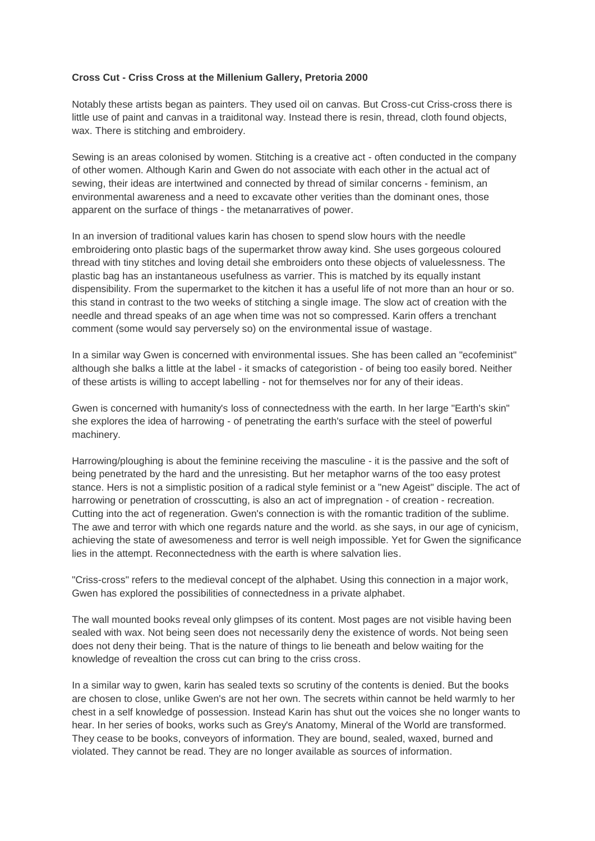## **Cross Cut - Criss Cross at the Millenium Gallery, Pretoria 2000**

Notably these artists began as painters. They used oil on canvas. But Cross-cut Criss-cross there is little use of paint and canvas in a traiditonal way. Instead there is resin, thread, cloth found objects, wax. There is stitching and embroidery.

Sewing is an areas colonised by women. Stitching is a creative act - often conducted in the company of other women. Although Karin and Gwen do not associate with each other in the actual act of sewing, their ideas are intertwined and connected by thread of similar concerns - feminism, an environmental awareness and a need to excavate other verities than the dominant ones, those apparent on the surface of things - the metanarratives of power.

In an inversion of traditional values karin has chosen to spend slow hours with the needle embroidering onto plastic bags of the supermarket throw away kind. She uses gorgeous coloured thread with tiny stitches and loving detail she embroiders onto these objects of valuelessness. The plastic bag has an instantaneous usefulness as varrier. This is matched by its equally instant dispensibility. From the supermarket to the kitchen it has a useful life of not more than an hour or so. this stand in contrast to the two weeks of stitching a single image. The slow act of creation with the needle and thread speaks of an age when time was not so compressed. Karin offers a trenchant comment (some would say perversely so) on the environmental issue of wastage.

In a similar way Gwen is concerned with environmental issues. She has been called an "ecofeminist" although she balks a little at the label - it smacks of categoristion - of being too easily bored. Neither of these artists is willing to accept labelling - not for themselves nor for any of their ideas.

Gwen is concerned with humanity's loss of connectedness with the earth. In her large "Earth's skin" she explores the idea of harrowing - of penetrating the earth's surface with the steel of powerful machinery.

Harrowing/ploughing is about the feminine receiving the masculine - it is the passive and the soft of being penetrated by the hard and the unresisting. But her metaphor warns of the too easy protest stance. Hers is not a simplistic position of a radical style feminist or a "new Ageist" disciple. The act of harrowing or penetration of crosscutting, is also an act of impregnation - of creation - recreation. Cutting into the act of regeneration. Gwen's connection is with the romantic tradition of the sublime. The awe and terror with which one regards nature and the world. as she says, in our age of cynicism, achieving the state of awesomeness and terror is well neigh impossible. Yet for Gwen the significance lies in the attempt. Reconnectedness with the earth is where salvation lies.

"Criss-cross" refers to the medieval concept of the alphabet. Using this connection in a major work, Gwen has explored the possibilities of connectedness in a private alphabet.

The wall mounted books reveal only glimpses of its content. Most pages are not visible having been sealed with wax. Not being seen does not necessarily deny the existence of words. Not being seen does not deny their being. That is the nature of things to lie beneath and below waiting for the knowledge of revealtion the cross cut can bring to the criss cross.

In a similar way to gwen, karin has sealed texts so scrutiny of the contents is denied. But the books are chosen to close, unlike Gwen's are not her own. The secrets within cannot be held warmly to her chest in a self knowledge of possession. Instead Karin has shut out the voices she no longer wants to hear. In her series of books, works such as Grey's Anatomy, Mineral of the World are transformed. They cease to be books, conveyors of information. They are bound, sealed, waxed, burned and violated. They cannot be read. They are no longer available as sources of information.